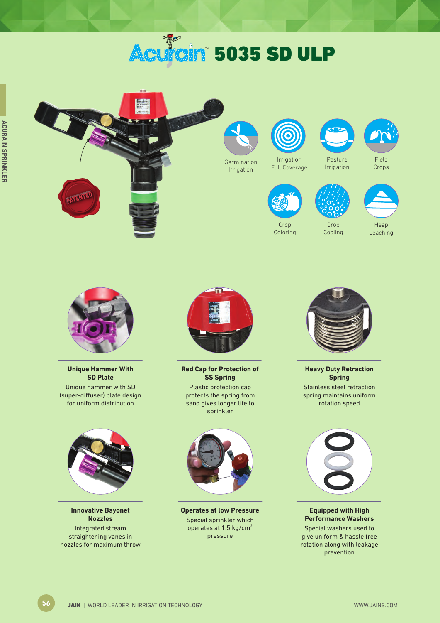# **Aculain 5035 SD ULP**





**Unique Hammer With SD Plate** Unique hammer with SD (super-diffuser) plate design for uniform distribution



**Innovative Bayonet Nozzles** Integrated stream straightening vanes in nozzles for maximum throw



**Red Cap for Protection of SS Spring** Plastic protection cap protects the spring from sand gives longer life to sprinkler



**Operates at low Pressure** Special sprinkler which operates at 1.5 kg/cm² pressure



**Heavy Duty Retraction Spring**  Stainless steel retraction spring maintains uniform rotation speed



**Equipped with High Performance Washers**

Special washers used to give uniform & hassle free rotation along with leakage prevention